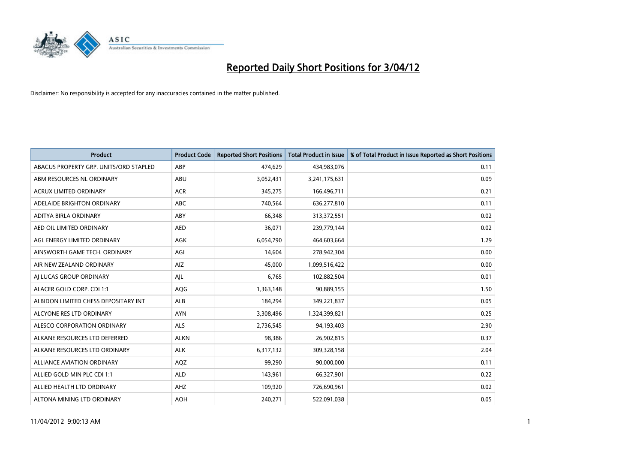

| <b>Product</b>                         | <b>Product Code</b> | <b>Reported Short Positions</b> | <b>Total Product in Issue</b> | % of Total Product in Issue Reported as Short Positions |
|----------------------------------------|---------------------|---------------------------------|-------------------------------|---------------------------------------------------------|
| ABACUS PROPERTY GRP. UNITS/ORD STAPLED | ABP                 | 474,629                         | 434,983,076                   | 0.11                                                    |
| ABM RESOURCES NL ORDINARY              | ABU                 | 3,052,431                       | 3,241,175,631                 | 0.09                                                    |
| <b>ACRUX LIMITED ORDINARY</b>          | <b>ACR</b>          | 345,275                         | 166,496,711                   | 0.21                                                    |
| ADELAIDE BRIGHTON ORDINARY             | <b>ABC</b>          | 740,564                         | 636,277,810                   | 0.11                                                    |
| ADITYA BIRLA ORDINARY                  | ABY                 | 66,348                          | 313,372,551                   | 0.02                                                    |
| AED OIL LIMITED ORDINARY               | <b>AED</b>          | 36,071                          | 239,779,144                   | 0.02                                                    |
| AGL ENERGY LIMITED ORDINARY            | AGK                 | 6,054,790                       | 464,603,664                   | 1.29                                                    |
| AINSWORTH GAME TECH. ORDINARY          | AGI                 | 14,604                          | 278,942,304                   | 0.00                                                    |
| AIR NEW ZEALAND ORDINARY               | AIZ                 | 45,000                          | 1,099,516,422                 | 0.00                                                    |
| AI LUCAS GROUP ORDINARY                | AJL                 | 6,765                           | 102,882,504                   | 0.01                                                    |
| ALACER GOLD CORP. CDI 1:1              | AQG                 | 1,363,148                       | 90,889,155                    | 1.50                                                    |
| ALBIDON LIMITED CHESS DEPOSITARY INT   | ALB                 | 184,294                         | 349,221,837                   | 0.05                                                    |
| ALCYONE RES LTD ORDINARY               | <b>AYN</b>          | 3,308,496                       | 1,324,399,821                 | 0.25                                                    |
| ALESCO CORPORATION ORDINARY            | ALS                 | 2,736,545                       | 94,193,403                    | 2.90                                                    |
| ALKANE RESOURCES LTD DEFERRED          | <b>ALKN</b>         | 98,386                          | 26,902,815                    | 0.37                                                    |
| ALKANE RESOURCES LTD ORDINARY          | <b>ALK</b>          | 6,317,132                       | 309,328,158                   | 2.04                                                    |
| ALLIANCE AVIATION ORDINARY             | AQZ                 | 99,290                          | 90,000,000                    | 0.11                                                    |
| ALLIED GOLD MIN PLC CDI 1:1            | <b>ALD</b>          | 143,961                         | 66,327,901                    | 0.22                                                    |
| ALLIED HEALTH LTD ORDINARY             | AHZ                 | 109,920                         | 726,690,961                   | 0.02                                                    |
| ALTONA MINING LTD ORDINARY             | <b>AOH</b>          | 240,271                         | 522,091,038                   | 0.05                                                    |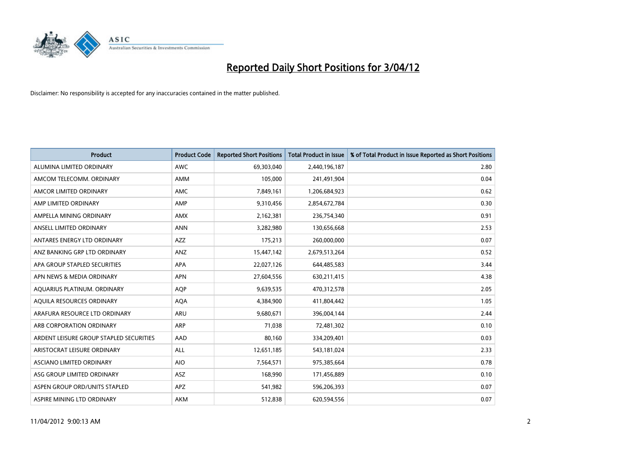

| <b>Product</b>                          | <b>Product Code</b> | <b>Reported Short Positions</b> | <b>Total Product in Issue</b> | % of Total Product in Issue Reported as Short Positions |
|-----------------------------------------|---------------------|---------------------------------|-------------------------------|---------------------------------------------------------|
| ALUMINA LIMITED ORDINARY                | <b>AWC</b>          | 69,303,040                      | 2,440,196,187                 | 2.80                                                    |
| AMCOM TELECOMM. ORDINARY                | AMM                 | 105,000                         | 241,491,904                   | 0.04                                                    |
| AMCOR LIMITED ORDINARY                  | AMC                 | 7,849,161                       | 1,206,684,923                 | 0.62                                                    |
| AMP LIMITED ORDINARY                    | AMP                 | 9,310,456                       | 2,854,672,784                 | 0.30                                                    |
| AMPELLA MINING ORDINARY                 | <b>AMX</b>          | 2,162,381                       | 236,754,340                   | 0.91                                                    |
| ANSELL LIMITED ORDINARY                 | <b>ANN</b>          | 3,282,980                       | 130,656,668                   | 2.53                                                    |
| ANTARES ENERGY LTD ORDINARY             | AZZ                 | 175,213                         | 260,000,000                   | 0.07                                                    |
| ANZ BANKING GRP LTD ORDINARY            | ANZ                 | 15,447,142                      | 2,679,513,264                 | 0.52                                                    |
| APA GROUP STAPLED SECURITIES            | <b>APA</b>          | 22,027,126                      | 644,485,583                   | 3.44                                                    |
| APN NEWS & MEDIA ORDINARY               | <b>APN</b>          | 27,604,556                      | 630,211,415                   | 4.38                                                    |
| AQUARIUS PLATINUM. ORDINARY             | AQP                 | 9,639,535                       | 470,312,578                   | 2.05                                                    |
| AOUILA RESOURCES ORDINARY               | <b>AQA</b>          | 4,384,900                       | 411,804,442                   | 1.05                                                    |
| ARAFURA RESOURCE LTD ORDINARY           | <b>ARU</b>          | 9,680,671                       | 396,004,144                   | 2.44                                                    |
| ARB CORPORATION ORDINARY                | <b>ARP</b>          | 71,038                          | 72,481,302                    | 0.10                                                    |
| ARDENT LEISURE GROUP STAPLED SECURITIES | AAD                 | 80,160                          | 334,209,401                   | 0.03                                                    |
| ARISTOCRAT LEISURE ORDINARY             | ALL                 | 12,651,185                      | 543,181,024                   | 2.33                                                    |
| ASCIANO LIMITED ORDINARY                | <b>AIO</b>          | 7,564,571                       | 975,385,664                   | 0.78                                                    |
| ASG GROUP LIMITED ORDINARY              | ASZ                 | 168,990                         | 171,456,889                   | 0.10                                                    |
| ASPEN GROUP ORD/UNITS STAPLED           | <b>APZ</b>          | 541,982                         | 596,206,393                   | 0.07                                                    |
| ASPIRE MINING LTD ORDINARY              | <b>AKM</b>          | 512,838                         | 620,594,556                   | 0.07                                                    |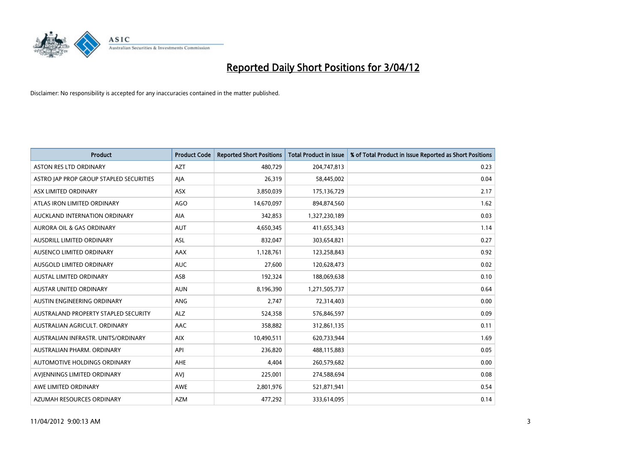

| <b>Product</b>                          | <b>Product Code</b> | <b>Reported Short Positions</b> | <b>Total Product in Issue</b> | % of Total Product in Issue Reported as Short Positions |
|-----------------------------------------|---------------------|---------------------------------|-------------------------------|---------------------------------------------------------|
| <b>ASTON RES LTD ORDINARY</b>           | <b>AZT</b>          | 480,729                         | 204,747,813                   | 0.23                                                    |
| ASTRO JAP PROP GROUP STAPLED SECURITIES | AJA                 | 26,319                          | 58,445,002                    | 0.04                                                    |
| ASX LIMITED ORDINARY                    | <b>ASX</b>          | 3,850,039                       | 175,136,729                   | 2.17                                                    |
| ATLAS IRON LIMITED ORDINARY             | <b>AGO</b>          | 14,670,097                      | 894,874,560                   | 1.62                                                    |
| AUCKLAND INTERNATION ORDINARY           | AIA                 | 342,853                         | 1,327,230,189                 | 0.03                                                    |
| <b>AURORA OIL &amp; GAS ORDINARY</b>    | <b>AUT</b>          | 4,650,345                       | 411,655,343                   | 1.14                                                    |
| AUSDRILL LIMITED ORDINARY               | <b>ASL</b>          | 832,047                         | 303,654,821                   | 0.27                                                    |
| AUSENCO LIMITED ORDINARY                | AAX                 | 1,128,761                       | 123,258,843                   | 0.92                                                    |
| AUSGOLD LIMITED ORDINARY                | <b>AUC</b>          | 27,600                          | 120,628,473                   | 0.02                                                    |
| <b>AUSTAL LIMITED ORDINARY</b>          | ASB                 | 192,324                         | 188,069,638                   | 0.10                                                    |
| AUSTAR UNITED ORDINARY                  | <b>AUN</b>          | 8,196,390                       | 1,271,505,737                 | 0.64                                                    |
| AUSTIN ENGINEERING ORDINARY             | <b>ANG</b>          | 2,747                           | 72,314,403                    | 0.00                                                    |
| AUSTRALAND PROPERTY STAPLED SECURITY    | <b>ALZ</b>          | 524,358                         | 576,846,597                   | 0.09                                                    |
| AUSTRALIAN AGRICULT, ORDINARY           | AAC                 | 358,882                         | 312,861,135                   | 0.11                                                    |
| AUSTRALIAN INFRASTR, UNITS/ORDINARY     | <b>AIX</b>          | 10,490,511                      | 620,733,944                   | 1.69                                                    |
| AUSTRALIAN PHARM. ORDINARY              | API                 | 236,820                         | 488,115,883                   | 0.05                                                    |
| AUTOMOTIVE HOLDINGS ORDINARY            | AHE                 | 4,404                           | 260,579,682                   | 0.00                                                    |
| AVJENNINGS LIMITED ORDINARY             | <b>AVJ</b>          | 225,001                         | 274,588,694                   | 0.08                                                    |
| AWE LIMITED ORDINARY                    | <b>AWE</b>          | 2,801,976                       | 521,871,941                   | 0.54                                                    |
| AZUMAH RESOURCES ORDINARY               | <b>AZM</b>          | 477,292                         | 333,614,095                   | 0.14                                                    |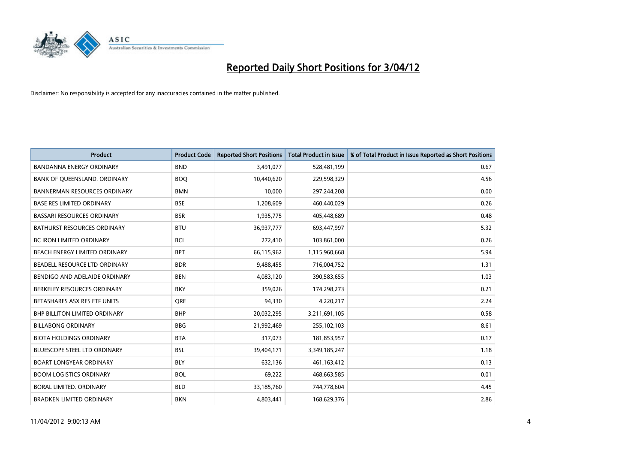

| <b>Product</b>                       | <b>Product Code</b> | <b>Reported Short Positions</b> | <b>Total Product in Issue</b> | % of Total Product in Issue Reported as Short Positions |
|--------------------------------------|---------------------|---------------------------------|-------------------------------|---------------------------------------------------------|
| <b>BANDANNA ENERGY ORDINARY</b>      | <b>BND</b>          | 3,491,077                       | 528,481,199                   | 0.67                                                    |
| BANK OF QUEENSLAND. ORDINARY         | <b>BOO</b>          | 10,440,620                      | 229,598,329                   | 4.56                                                    |
| <b>BANNERMAN RESOURCES ORDINARY</b>  | <b>BMN</b>          | 10,000                          | 297,244,208                   | 0.00                                                    |
| <b>BASE RES LIMITED ORDINARY</b>     | <b>BSE</b>          | 1,208,609                       | 460,440,029                   | 0.26                                                    |
| <b>BASSARI RESOURCES ORDINARY</b>    | <b>BSR</b>          | 1,935,775                       | 405,448,689                   | 0.48                                                    |
| <b>BATHURST RESOURCES ORDINARY</b>   | <b>BTU</b>          | 36,937,777                      | 693,447,997                   | 5.32                                                    |
| <b>BC IRON LIMITED ORDINARY</b>      | <b>BCI</b>          | 272,410                         | 103,861,000                   | 0.26                                                    |
| BEACH ENERGY LIMITED ORDINARY        | <b>BPT</b>          | 66,115,962                      | 1,115,960,668                 | 5.94                                                    |
| BEADELL RESOURCE LTD ORDINARY        | <b>BDR</b>          | 9,488,455                       | 716,004,752                   | 1.31                                                    |
| BENDIGO AND ADELAIDE ORDINARY        | <b>BEN</b>          | 4,083,120                       | 390,583,655                   | 1.03                                                    |
| BERKELEY RESOURCES ORDINARY          | <b>BKY</b>          | 359,026                         | 174,298,273                   | 0.21                                                    |
| BETASHARES ASX RES ETF UNITS         | <b>ORE</b>          | 94,330                          | 4,220,217                     | 2.24                                                    |
| <b>BHP BILLITON LIMITED ORDINARY</b> | <b>BHP</b>          | 20,032,295                      | 3,211,691,105                 | 0.58                                                    |
| <b>BILLABONG ORDINARY</b>            | <b>BBG</b>          | 21,992,469                      | 255,102,103                   | 8.61                                                    |
| <b>BIOTA HOLDINGS ORDINARY</b>       | <b>BTA</b>          | 317,073                         | 181,853,957                   | 0.17                                                    |
| BLUESCOPE STEEL LTD ORDINARY         | <b>BSL</b>          | 39,404,171                      | 3,349,185,247                 | 1.18                                                    |
| <b>BOART LONGYEAR ORDINARY</b>       | <b>BLY</b>          | 632,136                         | 461,163,412                   | 0.13                                                    |
| <b>BOOM LOGISTICS ORDINARY</b>       | <b>BOL</b>          | 69,222                          | 468,663,585                   | 0.01                                                    |
| <b>BORAL LIMITED, ORDINARY</b>       | <b>BLD</b>          | 33,185,760                      | 744,778,604                   | 4.45                                                    |
| <b>BRADKEN LIMITED ORDINARY</b>      | <b>BKN</b>          | 4,803,441                       | 168,629,376                   | 2.86                                                    |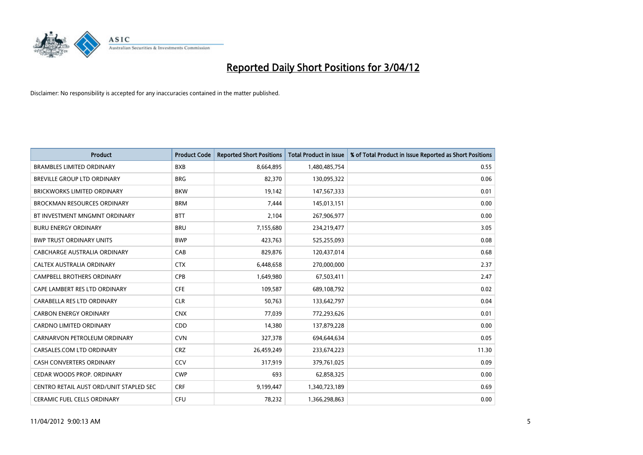

| <b>Product</b>                          | <b>Product Code</b> | <b>Reported Short Positions</b> | <b>Total Product in Issue</b> | % of Total Product in Issue Reported as Short Positions |
|-----------------------------------------|---------------------|---------------------------------|-------------------------------|---------------------------------------------------------|
| <b>BRAMBLES LIMITED ORDINARY</b>        | <b>BXB</b>          | 8,664,895                       | 1,480,485,754                 | 0.55                                                    |
| BREVILLE GROUP LTD ORDINARY             | <b>BRG</b>          | 82,370                          | 130,095,322                   | 0.06                                                    |
| <b>BRICKWORKS LIMITED ORDINARY</b>      | <b>BKW</b>          | 19,142                          | 147,567,333                   | 0.01                                                    |
| <b>BROCKMAN RESOURCES ORDINARY</b>      | <b>BRM</b>          | 7,444                           | 145,013,151                   | 0.00                                                    |
| BT INVESTMENT MNGMNT ORDINARY           | <b>BTT</b>          | 2,104                           | 267,906,977                   | 0.00                                                    |
| <b>BURU ENERGY ORDINARY</b>             | <b>BRU</b>          | 7,155,680                       | 234,219,477                   | 3.05                                                    |
| <b>BWP TRUST ORDINARY UNITS</b>         | <b>BWP</b>          | 423,763                         | 525,255,093                   | 0.08                                                    |
| CABCHARGE AUSTRALIA ORDINARY            | CAB                 | 829,876                         | 120,437,014                   | 0.68                                                    |
| CALTEX AUSTRALIA ORDINARY               | <b>CTX</b>          | 6,448,658                       | 270,000,000                   | 2.37                                                    |
| <b>CAMPBELL BROTHERS ORDINARY</b>       | <b>CPB</b>          | 1,649,980                       | 67,503,411                    | 2.47                                                    |
| CAPE LAMBERT RES LTD ORDINARY           | <b>CFE</b>          | 109,587                         | 689,108,792                   | 0.02                                                    |
| CARABELLA RES LTD ORDINARY              | <b>CLR</b>          | 50,763                          | 133,642,797                   | 0.04                                                    |
| <b>CARBON ENERGY ORDINARY</b>           | <b>CNX</b>          | 77,039                          | 772,293,626                   | 0.01                                                    |
| <b>CARDNO LIMITED ORDINARY</b>          | CDD                 | 14,380                          | 137,879,228                   | 0.00                                                    |
| CARNARVON PETROLEUM ORDINARY            | <b>CVN</b>          | 327,378                         | 694,644,634                   | 0.05                                                    |
| CARSALES.COM LTD ORDINARY               | <b>CRZ</b>          | 26,459,249                      | 233,674,223                   | 11.30                                                   |
| CASH CONVERTERS ORDINARY                | CCV                 | 317,919                         | 379,761,025                   | 0.09                                                    |
| CEDAR WOODS PROP. ORDINARY              | <b>CWP</b>          | 693                             | 62,858,325                    | 0.00                                                    |
| CENTRO RETAIL AUST ORD/UNIT STAPLED SEC | <b>CRF</b>          | 9,199,447                       | 1,340,723,189                 | 0.69                                                    |
| CERAMIC FUEL CELLS ORDINARY             | <b>CFU</b>          | 78,232                          | 1,366,298,863                 | 0.00                                                    |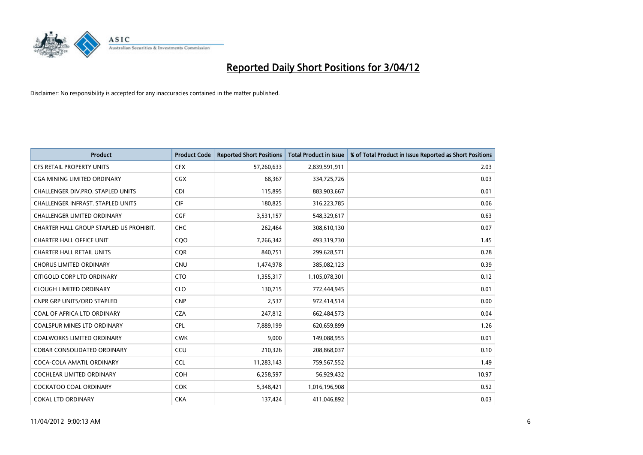

| <b>Product</b>                          | <b>Product Code</b> | <b>Reported Short Positions</b> | <b>Total Product in Issue</b> | % of Total Product in Issue Reported as Short Positions |
|-----------------------------------------|---------------------|---------------------------------|-------------------------------|---------------------------------------------------------|
| <b>CFS RETAIL PROPERTY UNITS</b>        | <b>CFX</b>          | 57,260,633                      | 2,839,591,911                 | 2.03                                                    |
| CGA MINING LIMITED ORDINARY             | CGX                 | 68,367                          | 334,725,726                   | 0.03                                                    |
| CHALLENGER DIV.PRO. STAPLED UNITS       | <b>CDI</b>          | 115,895                         | 883,903,667                   | 0.01                                                    |
| CHALLENGER INFRAST. STAPLED UNITS       | <b>CIF</b>          | 180,825                         | 316,223,785                   | 0.06                                                    |
| <b>CHALLENGER LIMITED ORDINARY</b>      | CGF                 | 3,531,157                       | 548,329,617                   | 0.63                                                    |
| CHARTER HALL GROUP STAPLED US PROHIBIT. | <b>CHC</b>          | 262,464                         | 308,610,130                   | 0.07                                                    |
| <b>CHARTER HALL OFFICE UNIT</b>         | CQ <sub>O</sub>     | 7,266,342                       | 493,319,730                   | 1.45                                                    |
| <b>CHARTER HALL RETAIL UNITS</b>        | <b>COR</b>          | 840,751                         | 299,628,571                   | 0.28                                                    |
| <b>CHORUS LIMITED ORDINARY</b>          | <b>CNU</b>          | 1,474,978                       | 385,082,123                   | 0.39                                                    |
| CITIGOLD CORP LTD ORDINARY              | <b>CTO</b>          | 1,355,317                       | 1,105,078,301                 | 0.12                                                    |
| <b>CLOUGH LIMITED ORDINARY</b>          | <b>CLO</b>          | 130,715                         | 772,444,945                   | 0.01                                                    |
| <b>CNPR GRP UNITS/ORD STAPLED</b>       | <b>CNP</b>          | 2,537                           | 972,414,514                   | 0.00                                                    |
| COAL OF AFRICA LTD ORDINARY             | <b>CZA</b>          | 247,812                         | 662,484,573                   | 0.04                                                    |
| <b>COALSPUR MINES LTD ORDINARY</b>      | <b>CPL</b>          | 7,889,199                       | 620,659,899                   | 1.26                                                    |
| <b>COALWORKS LIMITED ORDINARY</b>       | <b>CWK</b>          | 9,000                           | 149,088,955                   | 0.01                                                    |
| COBAR CONSOLIDATED ORDINARY             | CCU                 | 210,326                         | 208,868,037                   | 0.10                                                    |
| COCA-COLA AMATIL ORDINARY               | <b>CCL</b>          | 11,283,143                      | 759,567,552                   | 1.49                                                    |
| COCHLEAR LIMITED ORDINARY               | <b>COH</b>          | 6,258,597                       | 56,929,432                    | 10.97                                                   |
| <b>COCKATOO COAL ORDINARY</b>           | <b>COK</b>          | 5,348,421                       | 1,016,196,908                 | 0.52                                                    |
| <b>COKAL LTD ORDINARY</b>               | <b>CKA</b>          | 137,424                         | 411,046,892                   | 0.03                                                    |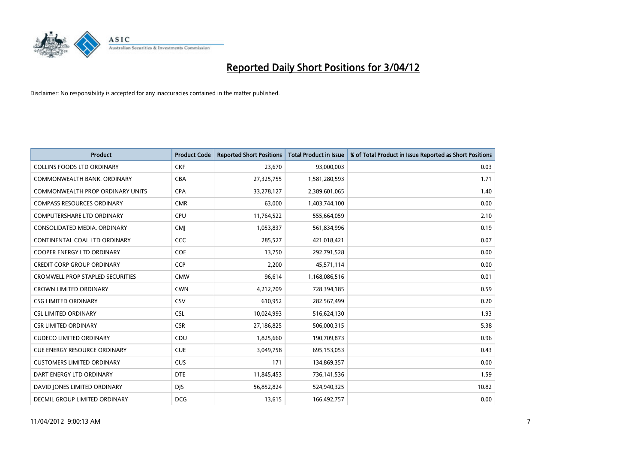

| <b>Product</b>                          | <b>Product Code</b> | <b>Reported Short Positions</b> | <b>Total Product in Issue</b> | % of Total Product in Issue Reported as Short Positions |
|-----------------------------------------|---------------------|---------------------------------|-------------------------------|---------------------------------------------------------|
| <b>COLLINS FOODS LTD ORDINARY</b>       | <b>CKF</b>          | 23,670                          | 93,000,003                    | 0.03                                                    |
| COMMONWEALTH BANK, ORDINARY             | <b>CBA</b>          | 27,325,755                      | 1,581,280,593                 | 1.71                                                    |
| <b>COMMONWEALTH PROP ORDINARY UNITS</b> | <b>CPA</b>          | 33,278,127                      | 2,389,601,065                 | 1.40                                                    |
| <b>COMPASS RESOURCES ORDINARY</b>       | <b>CMR</b>          | 63,000                          | 1,403,744,100                 | 0.00                                                    |
| <b>COMPUTERSHARE LTD ORDINARY</b>       | <b>CPU</b>          | 11,764,522                      | 555,664,059                   | 2.10                                                    |
| CONSOLIDATED MEDIA, ORDINARY            | <b>CMJ</b>          | 1,053,837                       | 561,834,996                   | 0.19                                                    |
| CONTINENTAL COAL LTD ORDINARY           | CCC                 | 285,527                         | 421,018,421                   | 0.07                                                    |
| COOPER ENERGY LTD ORDINARY              | <b>COE</b>          | 13,750                          | 292,791,528                   | 0.00                                                    |
| <b>CREDIT CORP GROUP ORDINARY</b>       | CCP                 | 2,200                           | 45,571,114                    | 0.00                                                    |
| <b>CROMWELL PROP STAPLED SECURITIES</b> | <b>CMW</b>          | 96,614                          | 1,168,086,516                 | 0.01                                                    |
| <b>CROWN LIMITED ORDINARY</b>           | <b>CWN</b>          | 4,212,709                       | 728,394,185                   | 0.59                                                    |
| <b>CSG LIMITED ORDINARY</b>             | CSV                 | 610,952                         | 282,567,499                   | 0.20                                                    |
| <b>CSL LIMITED ORDINARY</b>             | <b>CSL</b>          | 10,024,993                      | 516,624,130                   | 1.93                                                    |
| <b>CSR LIMITED ORDINARY</b>             | <b>CSR</b>          | 27,186,825                      | 506,000,315                   | 5.38                                                    |
| <b>CUDECO LIMITED ORDINARY</b>          | CDU                 | 1,825,660                       | 190,709,873                   | 0.96                                                    |
| CUE ENERGY RESOURCE ORDINARY            | <b>CUE</b>          | 3,049,758                       | 695,153,053                   | 0.43                                                    |
| <b>CUSTOMERS LIMITED ORDINARY</b>       | <b>CUS</b>          | 171                             | 134,869,357                   | 0.00                                                    |
| DART ENERGY LTD ORDINARY                | <b>DTE</b>          | 11,845,453                      | 736,141,536                   | 1.59                                                    |
| DAVID JONES LIMITED ORDINARY            | <b>DJS</b>          | 56,852,824                      | 524,940,325                   | 10.82                                                   |
| DECMIL GROUP LIMITED ORDINARY           | <b>DCG</b>          | 13,615                          | 166,492,757                   | 0.00                                                    |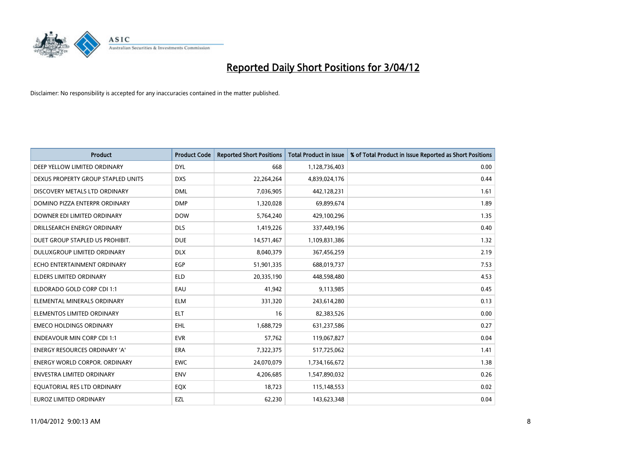

| <b>Product</b>                       | <b>Product Code</b> | <b>Reported Short Positions</b> | <b>Total Product in Issue</b> | % of Total Product in Issue Reported as Short Positions |
|--------------------------------------|---------------------|---------------------------------|-------------------------------|---------------------------------------------------------|
| DEEP YELLOW LIMITED ORDINARY         | <b>DYL</b>          | 668                             | 1,128,736,403                 | 0.00                                                    |
| DEXUS PROPERTY GROUP STAPLED UNITS   | <b>DXS</b>          | 22,264,264                      | 4,839,024,176                 | 0.44                                                    |
| DISCOVERY METALS LTD ORDINARY        | <b>DML</b>          | 7,036,905                       | 442,128,231                   | 1.61                                                    |
| DOMINO PIZZA ENTERPR ORDINARY        | <b>DMP</b>          | 1,320,028                       | 69,899,674                    | 1.89                                                    |
| DOWNER EDI LIMITED ORDINARY          | <b>DOW</b>          | 5,764,240                       | 429,100,296                   | 1.35                                                    |
| DRILLSEARCH ENERGY ORDINARY          | <b>DLS</b>          | 1,419,226                       | 337,449,196                   | 0.40                                                    |
| DUET GROUP STAPLED US PROHIBIT.      | <b>DUE</b>          | 14,571,467                      | 1,109,831,386                 | 1.32                                                    |
| DULUXGROUP LIMITED ORDINARY          | <b>DLX</b>          | 8,040,379                       | 367,456,259                   | 2.19                                                    |
| ECHO ENTERTAINMENT ORDINARY          | <b>EGP</b>          | 51,901,335                      | 688,019,737                   | 7.53                                                    |
| <b>ELDERS LIMITED ORDINARY</b>       | <b>ELD</b>          | 20,335,190                      | 448,598,480                   | 4.53                                                    |
| ELDORADO GOLD CORP CDI 1:1           | EAU                 | 41,942                          | 9,113,985                     | 0.45                                                    |
| ELEMENTAL MINERALS ORDINARY          | <b>ELM</b>          | 331,320                         | 243,614,280                   | 0.13                                                    |
| ELEMENTOS LIMITED ORDINARY           | <b>ELT</b>          | 16                              | 82,383,526                    | 0.00                                                    |
| <b>EMECO HOLDINGS ORDINARY</b>       | <b>EHL</b>          | 1,688,729                       | 631,237,586                   | 0.27                                                    |
| <b>ENDEAVOUR MIN CORP CDI 1:1</b>    | <b>EVR</b>          | 57,762                          | 119,067,827                   | 0.04                                                    |
| ENERGY RESOURCES ORDINARY 'A'        | ERA                 | 7,322,375                       | 517,725,062                   | 1.41                                                    |
| <b>ENERGY WORLD CORPOR. ORDINARY</b> | <b>EWC</b>          | 24,070,079                      | 1,734,166,672                 | 1.38                                                    |
| ENVESTRA LIMITED ORDINARY            | <b>ENV</b>          | 4,206,685                       | 1,547,890,032                 | 0.26                                                    |
| EQUATORIAL RES LTD ORDINARY          | EQX                 | 18,723                          | 115,148,553                   | 0.02                                                    |
| EUROZ LIMITED ORDINARY               | EZL                 | 62,230                          | 143,623,348                   | 0.04                                                    |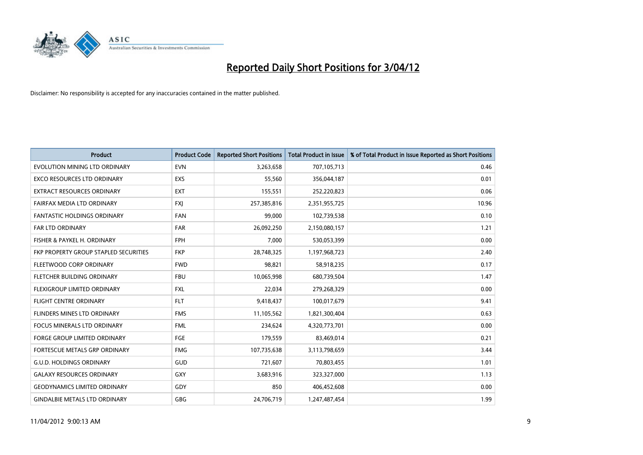

| <b>Product</b>                        | <b>Product Code</b> | <b>Reported Short Positions</b> | <b>Total Product in Issue</b> | % of Total Product in Issue Reported as Short Positions |
|---------------------------------------|---------------------|---------------------------------|-------------------------------|---------------------------------------------------------|
| EVOLUTION MINING LTD ORDINARY         | <b>EVN</b>          | 3,263,658                       | 707,105,713                   | 0.46                                                    |
| EXCO RESOURCES LTD ORDINARY           | <b>EXS</b>          | 55,560                          | 356,044,187                   | 0.01                                                    |
| <b>EXTRACT RESOURCES ORDINARY</b>     | <b>EXT</b>          | 155,551                         | 252,220,823                   | 0.06                                                    |
| FAIRFAX MEDIA LTD ORDINARY            | FXJ                 | 257,385,816                     | 2,351,955,725                 | 10.96                                                   |
| <b>FANTASTIC HOLDINGS ORDINARY</b>    | <b>FAN</b>          | 99,000                          | 102,739,538                   | 0.10                                                    |
| <b>FAR LTD ORDINARY</b>               | <b>FAR</b>          | 26,092,250                      | 2,150,080,157                 | 1.21                                                    |
| FISHER & PAYKEL H. ORDINARY           | <b>FPH</b>          | 7,000                           | 530,053,399                   | 0.00                                                    |
| FKP PROPERTY GROUP STAPLED SECURITIES | <b>FKP</b>          | 28,748,325                      | 1,197,968,723                 | 2.40                                                    |
| FLEETWOOD CORP ORDINARY               | <b>FWD</b>          | 98,821                          | 58,918,235                    | 0.17                                                    |
| FLETCHER BUILDING ORDINARY            | <b>FBU</b>          | 10,065,998                      | 680,739,504                   | 1.47                                                    |
| FLEXIGROUP LIMITED ORDINARY           | <b>FXL</b>          | 22,034                          | 279,268,329                   | 0.00                                                    |
| <b>FLIGHT CENTRE ORDINARY</b>         | <b>FLT</b>          | 9,418,437                       | 100,017,679                   | 9.41                                                    |
| FLINDERS MINES LTD ORDINARY           | <b>FMS</b>          | 11,105,562                      | 1,821,300,404                 | 0.63                                                    |
| <b>FOCUS MINERALS LTD ORDINARY</b>    | <b>FML</b>          | 234,624                         | 4,320,773,701                 | 0.00                                                    |
| <b>FORGE GROUP LIMITED ORDINARY</b>   | FGE                 | 179,559                         | 83,469,014                    | 0.21                                                    |
| FORTESCUE METALS GRP ORDINARY         | <b>FMG</b>          | 107,735,638                     | 3,113,798,659                 | 3.44                                                    |
| <b>G.U.D. HOLDINGS ORDINARY</b>       | GUD                 | 721,607                         | 70,803,455                    | 1.01                                                    |
| <b>GALAXY RESOURCES ORDINARY</b>      | GXY                 | 3,683,916                       | 323,327,000                   | 1.13                                                    |
| <b>GEODYNAMICS LIMITED ORDINARY</b>   | GDY                 | 850                             | 406,452,608                   | 0.00                                                    |
| <b>GINDALBIE METALS LTD ORDINARY</b>  | GBG                 | 24,706,719                      | 1,247,487,454                 | 1.99                                                    |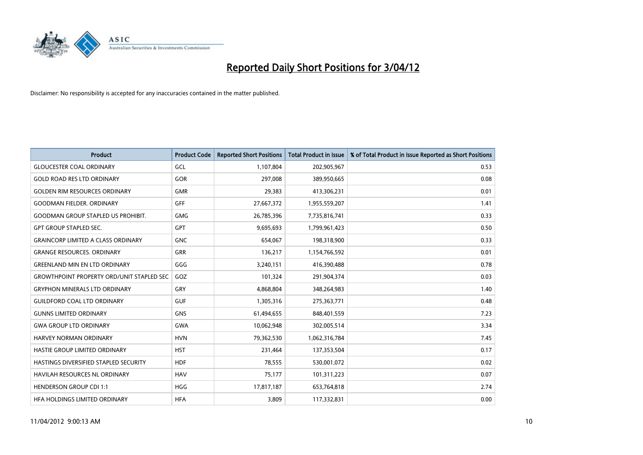

| <b>Product</b>                                   | <b>Product Code</b> | <b>Reported Short Positions</b> | <b>Total Product in Issue</b> | % of Total Product in Issue Reported as Short Positions |
|--------------------------------------------------|---------------------|---------------------------------|-------------------------------|---------------------------------------------------------|
| <b>GLOUCESTER COAL ORDINARY</b>                  | GCL                 | 1,107,804                       | 202,905,967                   | 0.53                                                    |
| <b>GOLD ROAD RES LTD ORDINARY</b>                | GOR                 | 297,008                         | 389,950,665                   | 0.08                                                    |
| <b>GOLDEN RIM RESOURCES ORDINARY</b>             | <b>GMR</b>          | 29,383                          | 413,306,231                   | 0.01                                                    |
| <b>GOODMAN FIELDER, ORDINARY</b>                 | <b>GFF</b>          | 27,667,372                      | 1,955,559,207                 | 1.41                                                    |
| <b>GOODMAN GROUP STAPLED US PROHIBIT.</b>        | <b>GMG</b>          | 26,785,396                      | 7,735,816,741                 | 0.33                                                    |
| <b>GPT GROUP STAPLED SEC.</b>                    | <b>GPT</b>          | 9,695,693                       | 1,799,961,423                 | 0.50                                                    |
| <b>GRAINCORP LIMITED A CLASS ORDINARY</b>        | <b>GNC</b>          | 654,067                         | 198,318,900                   | 0.33                                                    |
| <b>GRANGE RESOURCES. ORDINARY</b>                | GRR                 | 136,217                         | 1,154,766,592                 | 0.01                                                    |
| <b>GREENLAND MIN EN LTD ORDINARY</b>             | GGG                 | 3,240,151                       | 416,390,488                   | 0.78                                                    |
| <b>GROWTHPOINT PROPERTY ORD/UNIT STAPLED SEC</b> | GOZ                 | 101,324                         | 291,904,374                   | 0.03                                                    |
| <b>GRYPHON MINERALS LTD ORDINARY</b>             | <b>GRY</b>          | 4,868,804                       | 348,264,983                   | 1.40                                                    |
| <b>GUILDFORD COAL LTD ORDINARY</b>               | <b>GUF</b>          | 1,305,316                       | 275,363,771                   | 0.48                                                    |
| <b>GUNNS LIMITED ORDINARY</b>                    | <b>GNS</b>          | 61,494,655                      | 848,401,559                   | 7.23                                                    |
| <b>GWA GROUP LTD ORDINARY</b>                    | <b>GWA</b>          | 10,062,948                      | 302,005,514                   | 3.34                                                    |
| <b>HARVEY NORMAN ORDINARY</b>                    | <b>HVN</b>          | 79,362,530                      | 1,062,316,784                 | 7.45                                                    |
| HASTIE GROUP LIMITED ORDINARY                    | <b>HST</b>          | 231,464                         | 137,353,504                   | 0.17                                                    |
| HASTINGS DIVERSIFIED STAPLED SECURITY            | <b>HDF</b>          | 78,555                          | 530,001,072                   | 0.02                                                    |
| <b>HAVILAH RESOURCES NL ORDINARY</b>             | <b>HAV</b>          | 75,177                          | 101,311,223                   | 0.07                                                    |
| <b>HENDERSON GROUP CDI 1:1</b>                   | <b>HGG</b>          | 17,817,187                      | 653,764,818                   | 2.74                                                    |
| <b>HFA HOLDINGS LIMITED ORDINARY</b>             | <b>HFA</b>          | 3,809                           | 117,332,831                   | 0.00                                                    |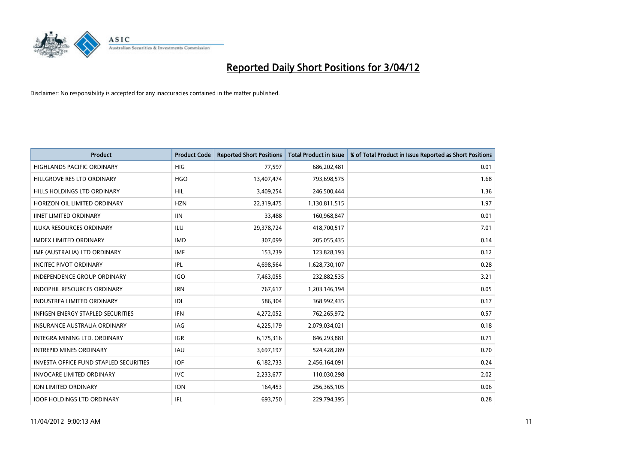

| <b>Product</b>                         | <b>Product Code</b> | <b>Reported Short Positions</b> | <b>Total Product in Issue</b> | % of Total Product in Issue Reported as Short Positions |
|----------------------------------------|---------------------|---------------------------------|-------------------------------|---------------------------------------------------------|
| <b>HIGHLANDS PACIFIC ORDINARY</b>      | <b>HIG</b>          | 77,597                          | 686,202,481                   | 0.01                                                    |
| HILLGROVE RES LTD ORDINARY             | <b>HGO</b>          | 13,407,474                      | 793,698,575                   | 1.68                                                    |
| HILLS HOLDINGS LTD ORDINARY            | <b>HIL</b>          | 3,409,254                       | 246,500,444                   | 1.36                                                    |
| HORIZON OIL LIMITED ORDINARY           | <b>HZN</b>          | 22,319,475                      | 1,130,811,515                 | 1.97                                                    |
| <b>IINET LIMITED ORDINARY</b>          | <b>IIN</b>          | 33,488                          | 160,968,847                   | 0.01                                                    |
| <b>ILUKA RESOURCES ORDINARY</b>        | <b>ILU</b>          | 29,378,724                      | 418,700,517                   | 7.01                                                    |
| <b>IMDEX LIMITED ORDINARY</b>          | <b>IMD</b>          | 307,099                         | 205,055,435                   | 0.14                                                    |
| IMF (AUSTRALIA) LTD ORDINARY           | <b>IMF</b>          | 153,239                         | 123,828,193                   | 0.12                                                    |
| <b>INCITEC PIVOT ORDINARY</b>          | IPL                 | 4,698,564                       | 1,628,730,107                 | 0.28                                                    |
| <b>INDEPENDENCE GROUP ORDINARY</b>     | <b>IGO</b>          | 7,463,055                       | 232,882,535                   | 3.21                                                    |
| INDOPHIL RESOURCES ORDINARY            | <b>IRN</b>          | 767,617                         | 1,203,146,194                 | 0.05                                                    |
| <b>INDUSTREA LIMITED ORDINARY</b>      | IDL                 | 586,304                         | 368,992,435                   | 0.17                                                    |
| INFIGEN ENERGY STAPLED SECURITIES      | <b>IFN</b>          | 4,272,052                       | 762,265,972                   | 0.57                                                    |
| <b>INSURANCE AUSTRALIA ORDINARY</b>    | IAG                 | 4,225,179                       | 2,079,034,021                 | 0.18                                                    |
| INTEGRA MINING LTD, ORDINARY           | <b>IGR</b>          | 6,175,316                       | 846,293,881                   | 0.71                                                    |
| <b>INTREPID MINES ORDINARY</b>         | <b>IAU</b>          | 3,697,197                       | 524,428,289                   | 0.70                                                    |
| INVESTA OFFICE FUND STAPLED SECURITIES | <b>IOF</b>          | 6,182,733                       | 2,456,164,091                 | 0.24                                                    |
| <b>INVOCARE LIMITED ORDINARY</b>       | IVC                 | 2,233,677                       | 110,030,298                   | 2.02                                                    |
| <b>ION LIMITED ORDINARY</b>            | <b>ION</b>          | 164,453                         | 256,365,105                   | 0.06                                                    |
| <b>IOOF HOLDINGS LTD ORDINARY</b>      | IFL                 | 693,750                         | 229,794,395                   | 0.28                                                    |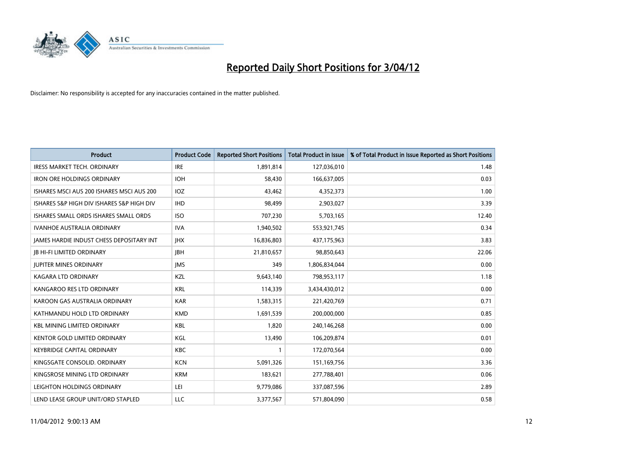

| <b>Product</b>                            | <b>Product Code</b> | <b>Reported Short Positions</b> | <b>Total Product in Issue</b> | % of Total Product in Issue Reported as Short Positions |
|-------------------------------------------|---------------------|---------------------------------|-------------------------------|---------------------------------------------------------|
| <b>IRESS MARKET TECH. ORDINARY</b>        | <b>IRE</b>          | 1,891,814                       | 127,036,010                   | 1.48                                                    |
| <b>IRON ORE HOLDINGS ORDINARY</b>         | <b>IOH</b>          | 58,430                          | 166,637,005                   | 0.03                                                    |
| ISHARES MSCI AUS 200 ISHARES MSCI AUS 200 | IOZ                 | 43,462                          | 4,352,373                     | 1.00                                                    |
| ISHARES S&P HIGH DIV ISHARES S&P HIGH DIV | <b>IHD</b>          | 98,499                          | 2,903,027                     | 3.39                                                    |
| ISHARES SMALL ORDS ISHARES SMALL ORDS     | <b>ISO</b>          | 707,230                         | 5,703,165                     | 12.40                                                   |
| <b>IVANHOE AUSTRALIA ORDINARY</b>         | <b>IVA</b>          | 1,940,502                       | 553,921,745                   | 0.34                                                    |
| JAMES HARDIE INDUST CHESS DEPOSITARY INT  | <b>JHX</b>          | 16,836,803                      | 437,175,963                   | 3.83                                                    |
| <b>JB HI-FI LIMITED ORDINARY</b>          | <b>IBH</b>          | 21,810,657                      | 98,850,643                    | 22.06                                                   |
| <b>JUPITER MINES ORDINARY</b>             | <b>IMS</b>          | 349                             | 1,806,834,044                 | 0.00                                                    |
| <b>KAGARA LTD ORDINARY</b>                | KZL                 | 9,643,140                       | 798,953,117                   | 1.18                                                    |
| KANGAROO RES LTD ORDINARY                 | <b>KRL</b>          | 114,339                         | 3,434,430,012                 | 0.00                                                    |
| KAROON GAS AUSTRALIA ORDINARY             | <b>KAR</b>          | 1,583,315                       | 221,420,769                   | 0.71                                                    |
| KATHMANDU HOLD LTD ORDINARY               | <b>KMD</b>          | 1,691,539                       | 200,000,000                   | 0.85                                                    |
| <b>KBL MINING LIMITED ORDINARY</b>        | KBL                 | 1,820                           | 240,146,268                   | 0.00                                                    |
| <b>KENTOR GOLD LIMITED ORDINARY</b>       | KGL                 | 13,490                          | 106,209,874                   | 0.01                                                    |
| <b>KEYBRIDGE CAPITAL ORDINARY</b>         | KBC                 |                                 | 172,070,564                   | 0.00                                                    |
| KINGSGATE CONSOLID. ORDINARY              | <b>KCN</b>          | 5,091,326                       | 151,169,756                   | 3.36                                                    |
| KINGSROSE MINING LTD ORDINARY             | <b>KRM</b>          | 183,621                         | 277,788,401                   | 0.06                                                    |
| LEIGHTON HOLDINGS ORDINARY                | LEI                 | 9,779,086                       | 337,087,596                   | 2.89                                                    |
| LEND LEASE GROUP UNIT/ORD STAPLED         | LLC                 | 3,377,567                       | 571,804,090                   | 0.58                                                    |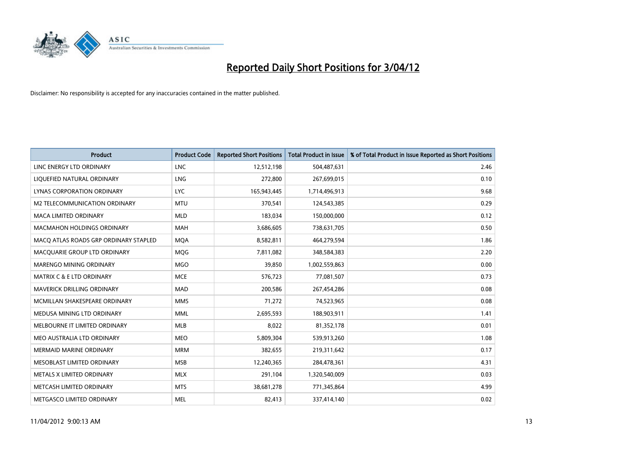

| <b>Product</b>                        | <b>Product Code</b> | <b>Reported Short Positions</b> | <b>Total Product in Issue</b> | % of Total Product in Issue Reported as Short Positions |
|---------------------------------------|---------------------|---------------------------------|-------------------------------|---------------------------------------------------------|
| LINC ENERGY LTD ORDINARY              | <b>LNC</b>          | 12,512,198                      | 504,487,631                   | 2.46                                                    |
| LIQUEFIED NATURAL ORDINARY            | <b>LNG</b>          | 272,800                         | 267,699,015                   | 0.10                                                    |
| <b>LYNAS CORPORATION ORDINARY</b>     | <b>LYC</b>          | 165,943,445                     | 1,714,496,913                 | 9.68                                                    |
| M2 TELECOMMUNICATION ORDINARY         | <b>MTU</b>          | 370,541                         | 124,543,385                   | 0.29                                                    |
| <b>MACA LIMITED ORDINARY</b>          | <b>MLD</b>          | 183,034                         | 150,000,000                   | 0.12                                                    |
| <b>MACMAHON HOLDINGS ORDINARY</b>     | <b>MAH</b>          | 3,686,605                       | 738,631,705                   | 0.50                                                    |
| MACO ATLAS ROADS GRP ORDINARY STAPLED | <b>MOA</b>          | 8,582,811                       | 464,279,594                   | 1.86                                                    |
| MACQUARIE GROUP LTD ORDINARY          | MQG                 | 7,811,082                       | 348,584,383                   | 2.20                                                    |
| MARENGO MINING ORDINARY               | <b>MGO</b>          | 39,850                          | 1,002,559,863                 | 0.00                                                    |
| <b>MATRIX C &amp; E LTD ORDINARY</b>  | <b>MCE</b>          | 576,723                         | 77,081,507                    | 0.73                                                    |
| MAVERICK DRILLING ORDINARY            | MAD                 | 200,586                         | 267,454,286                   | 0.08                                                    |
| MCMILLAN SHAKESPEARE ORDINARY         | <b>MMS</b>          | 71,272                          | 74,523,965                    | 0.08                                                    |
| MEDUSA MINING LTD ORDINARY            | <b>MML</b>          | 2,695,593                       | 188,903,911                   | 1.41                                                    |
| MELBOURNE IT LIMITED ORDINARY         | MLB                 | 8,022                           | 81,352,178                    | 0.01                                                    |
| MEO AUSTRALIA LTD ORDINARY            | <b>MEO</b>          | 5,809,304                       | 539,913,260                   | 1.08                                                    |
| MERMAID MARINE ORDINARY               | <b>MRM</b>          | 382,655                         | 219,311,642                   | 0.17                                                    |
| MESOBLAST LIMITED ORDINARY            | <b>MSB</b>          | 12,240,365                      | 284,478,361                   | 4.31                                                    |
| METALS X LIMITED ORDINARY             | <b>MLX</b>          | 291,104                         | 1,320,540,009                 | 0.03                                                    |
| METCASH LIMITED ORDINARY              | <b>MTS</b>          | 38,681,278                      | 771,345,864                   | 4.99                                                    |
| METGASCO LIMITED ORDINARY             | <b>MEL</b>          | 82,413                          | 337,414,140                   | 0.02                                                    |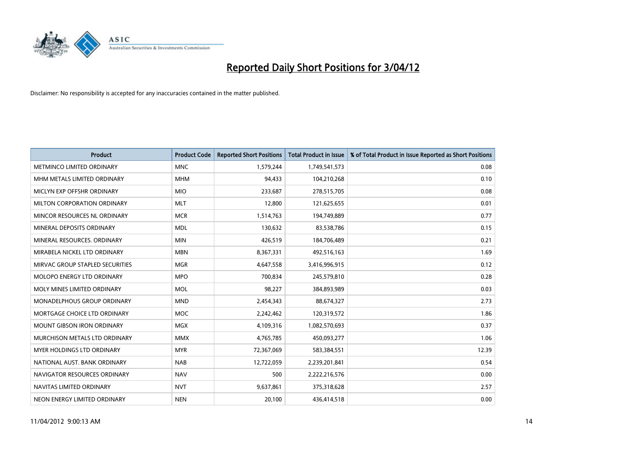

| <b>Product</b>                    | <b>Product Code</b> | <b>Reported Short Positions</b> | <b>Total Product in Issue</b> | % of Total Product in Issue Reported as Short Positions |
|-----------------------------------|---------------------|---------------------------------|-------------------------------|---------------------------------------------------------|
| METMINCO LIMITED ORDINARY         | <b>MNC</b>          | 1,579,244                       | 1,749,541,573                 | 0.08                                                    |
| MHM METALS LIMITED ORDINARY       | <b>MHM</b>          | 94,433                          | 104,210,268                   | 0.10                                                    |
| MICLYN EXP OFFSHR ORDINARY        | <b>MIO</b>          | 233,687                         | 278,515,705                   | 0.08                                                    |
| MILTON CORPORATION ORDINARY       | <b>MLT</b>          | 12,800                          | 121,625,655                   | 0.01                                                    |
| MINCOR RESOURCES NL ORDINARY      | <b>MCR</b>          | 1,514,763                       | 194,749,889                   | 0.77                                                    |
| MINERAL DEPOSITS ORDINARY         | <b>MDL</b>          | 130,632                         | 83,538,786                    | 0.15                                                    |
| MINERAL RESOURCES, ORDINARY       | <b>MIN</b>          | 426,519                         | 184,706,489                   | 0.21                                                    |
| MIRABELA NICKEL LTD ORDINARY      | <b>MBN</b>          | 8,367,331                       | 492,516,163                   | 1.69                                                    |
| MIRVAC GROUP STAPLED SECURITIES   | <b>MGR</b>          | 4,647,558                       | 3,416,996,915                 | 0.12                                                    |
| MOLOPO ENERGY LTD ORDINARY        | <b>MPO</b>          | 700,834                         | 245,579,810                   | 0.28                                                    |
| MOLY MINES LIMITED ORDINARY       | <b>MOL</b>          | 98,227                          | 384,893,989                   | 0.03                                                    |
| MONADELPHOUS GROUP ORDINARY       | <b>MND</b>          | 2,454,343                       | 88,674,327                    | 2.73                                                    |
| MORTGAGE CHOICE LTD ORDINARY      | <b>MOC</b>          | 2,242,462                       | 120,319,572                   | 1.86                                                    |
| <b>MOUNT GIBSON IRON ORDINARY</b> | <b>MGX</b>          | 4,109,316                       | 1,082,570,693                 | 0.37                                                    |
| MURCHISON METALS LTD ORDINARY     | <b>MMX</b>          | 4,765,785                       | 450,093,277                   | 1.06                                                    |
| MYER HOLDINGS LTD ORDINARY        | <b>MYR</b>          | 72,367,069                      | 583,384,551                   | 12.39                                                   |
| NATIONAL AUST. BANK ORDINARY      | <b>NAB</b>          | 12,722,059                      | 2,239,201,841                 | 0.54                                                    |
| NAVIGATOR RESOURCES ORDINARY      | <b>NAV</b>          | 500                             | 2,222,216,576                 | 0.00                                                    |
| NAVITAS LIMITED ORDINARY          | <b>NVT</b>          | 9,637,861                       | 375,318,628                   | 2.57                                                    |
| NEON ENERGY LIMITED ORDINARY      | <b>NEN</b>          | 20,100                          | 436,414,518                   | 0.00                                                    |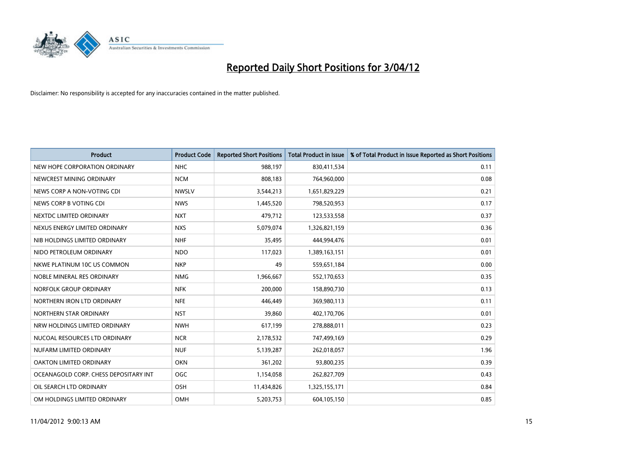

| <b>Product</b>                        | <b>Product Code</b> | <b>Reported Short Positions</b> | <b>Total Product in Issue</b> | % of Total Product in Issue Reported as Short Positions |
|---------------------------------------|---------------------|---------------------------------|-------------------------------|---------------------------------------------------------|
| NEW HOPE CORPORATION ORDINARY         | <b>NHC</b>          | 988,197                         | 830,411,534                   | 0.11                                                    |
| NEWCREST MINING ORDINARY              | <b>NCM</b>          | 808,183                         | 764,960,000                   | 0.08                                                    |
| NEWS CORP A NON-VOTING CDI            | <b>NWSLV</b>        | 3,544,213                       | 1,651,829,229                 | 0.21                                                    |
| NEWS CORP B VOTING CDI                | <b>NWS</b>          | 1,445,520                       | 798,520,953                   | 0.17                                                    |
| NEXTDC LIMITED ORDINARY               | <b>NXT</b>          | 479,712                         | 123,533,558                   | 0.37                                                    |
| NEXUS ENERGY LIMITED ORDINARY         | <b>NXS</b>          | 5,079,074                       | 1,326,821,159                 | 0.36                                                    |
| NIB HOLDINGS LIMITED ORDINARY         | <b>NHF</b>          | 35,495                          | 444,994,476                   | 0.01                                                    |
| NIDO PETROLEUM ORDINARY               | <b>NDO</b>          | 117,023                         | 1,389,163,151                 | 0.01                                                    |
| NKWE PLATINUM 10C US COMMON           | <b>NKP</b>          | 49                              | 559,651,184                   | 0.00                                                    |
| NOBLE MINERAL RES ORDINARY            | <b>NMG</b>          | 1,966,667                       | 552,170,653                   | 0.35                                                    |
| NORFOLK GROUP ORDINARY                | <b>NFK</b>          | 200,000                         | 158,890,730                   | 0.13                                                    |
| NORTHERN IRON LTD ORDINARY            | <b>NFE</b>          | 446,449                         | 369,980,113                   | 0.11                                                    |
| NORTHERN STAR ORDINARY                | <b>NST</b>          | 39,860                          | 402,170,706                   | 0.01                                                    |
| NRW HOLDINGS LIMITED ORDINARY         | <b>NWH</b>          | 617,199                         | 278,888,011                   | 0.23                                                    |
| NUCOAL RESOURCES LTD ORDINARY         | <b>NCR</b>          | 2,178,532                       | 747,499,169                   | 0.29                                                    |
| NUFARM LIMITED ORDINARY               | <b>NUF</b>          | 5,139,287                       | 262,018,057                   | 1.96                                                    |
| OAKTON LIMITED ORDINARY               | <b>OKN</b>          | 361,202                         | 93,800,235                    | 0.39                                                    |
| OCEANAGOLD CORP. CHESS DEPOSITARY INT | <b>OGC</b>          | 1,154,058                       | 262,827,709                   | 0.43                                                    |
| OIL SEARCH LTD ORDINARY               | OSH                 | 11,434,826                      | 1,325,155,171                 | 0.84                                                    |
| OM HOLDINGS LIMITED ORDINARY          | OMH                 | 5,203,753                       | 604,105,150                   | 0.85                                                    |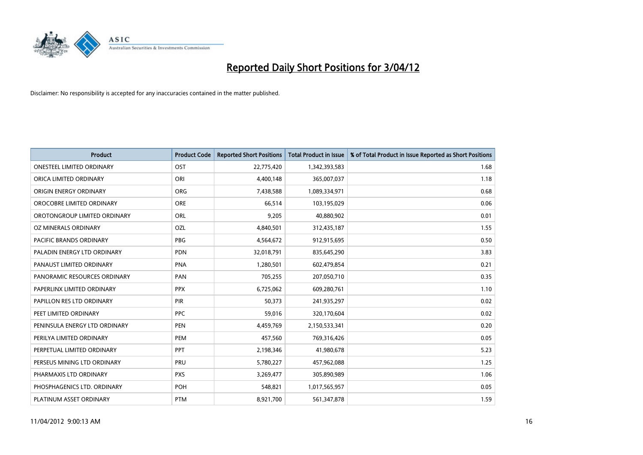

| <b>Product</b>                   | <b>Product Code</b> | <b>Reported Short Positions</b> | <b>Total Product in Issue</b> | % of Total Product in Issue Reported as Short Positions |
|----------------------------------|---------------------|---------------------------------|-------------------------------|---------------------------------------------------------|
| <b>ONESTEEL LIMITED ORDINARY</b> | OST                 | 22,775,420                      | 1,342,393,583                 | 1.68                                                    |
| ORICA LIMITED ORDINARY           | ORI                 | 4,400,148                       | 365,007,037                   | 1.18                                                    |
| ORIGIN ENERGY ORDINARY           | <b>ORG</b>          | 7,438,588                       | 1,089,334,971                 | 0.68                                                    |
| OROCOBRE LIMITED ORDINARY        | <b>ORE</b>          | 66,514                          | 103,195,029                   | 0.06                                                    |
| OROTONGROUP LIMITED ORDINARY     | <b>ORL</b>          | 9,205                           | 40,880,902                    | 0.01                                                    |
| OZ MINERALS ORDINARY             | OZL                 | 4,840,501                       | 312,435,187                   | 1.55                                                    |
| <b>PACIFIC BRANDS ORDINARY</b>   | <b>PBG</b>          | 4,564,672                       | 912,915,695                   | 0.50                                                    |
| PALADIN ENERGY LTD ORDINARY      | <b>PDN</b>          | 32,018,791                      | 835,645,290                   | 3.83                                                    |
| PANAUST LIMITED ORDINARY         | <b>PNA</b>          | 1,280,501                       | 602,479,854                   | 0.21                                                    |
| PANORAMIC RESOURCES ORDINARY     | PAN                 | 705,255                         | 207,050,710                   | 0.35                                                    |
| PAPERLINX LIMITED ORDINARY       | <b>PPX</b>          | 6,725,062                       | 609,280,761                   | 1.10                                                    |
| PAPILLON RES LTD ORDINARY        | <b>PIR</b>          | 50,373                          | 241,935,297                   | 0.02                                                    |
| PEET LIMITED ORDINARY            | <b>PPC</b>          | 59,016                          | 320,170,604                   | 0.02                                                    |
| PENINSULA ENERGY LTD ORDINARY    | <b>PEN</b>          | 4,459,769                       | 2,150,533,341                 | 0.20                                                    |
| PERILYA LIMITED ORDINARY         | PEM                 | 457,560                         | 769,316,426                   | 0.05                                                    |
| PERPETUAL LIMITED ORDINARY       | <b>PPT</b>          | 2,198,346                       | 41,980,678                    | 5.23                                                    |
| PERSEUS MINING LTD ORDINARY      | PRU                 | 5,780,227                       | 457,962,088                   | 1.25                                                    |
| PHARMAXIS LTD ORDINARY           | <b>PXS</b>          | 3,269,477                       | 305,890,989                   | 1.06                                                    |
| PHOSPHAGENICS LTD. ORDINARY      | POH                 | 548,821                         | 1,017,565,957                 | 0.05                                                    |
| PLATINUM ASSET ORDINARY          | <b>PTM</b>          | 8,921,700                       | 561,347,878                   | 1.59                                                    |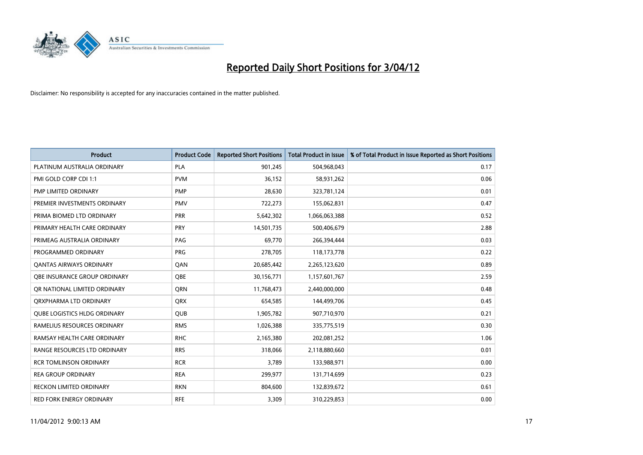

| <b>Product</b>                      | <b>Product Code</b> | <b>Reported Short Positions</b> | <b>Total Product in Issue</b> | % of Total Product in Issue Reported as Short Positions |
|-------------------------------------|---------------------|---------------------------------|-------------------------------|---------------------------------------------------------|
| PLATINUM AUSTRALIA ORDINARY         | <b>PLA</b>          | 901,245                         | 504,968,043                   | 0.17                                                    |
| PMI GOLD CORP CDI 1:1               | <b>PVM</b>          | 36,152                          | 58,931,262                    | 0.06                                                    |
| PMP LIMITED ORDINARY                | <b>PMP</b>          | 28,630                          | 323,781,124                   | 0.01                                                    |
| PREMIER INVESTMENTS ORDINARY        | <b>PMV</b>          | 722,273                         | 155,062,831                   | 0.47                                                    |
| PRIMA BIOMED LTD ORDINARY           | <b>PRR</b>          | 5,642,302                       | 1,066,063,388                 | 0.52                                                    |
| PRIMARY HEALTH CARE ORDINARY        | PRY                 | 14,501,735                      | 500,406,679                   | 2.88                                                    |
| PRIMEAG AUSTRALIA ORDINARY          | PAG                 | 69,770                          | 266,394,444                   | 0.03                                                    |
| PROGRAMMED ORDINARY                 | <b>PRG</b>          | 278,705                         | 118,173,778                   | 0.22                                                    |
| <b>QANTAS AIRWAYS ORDINARY</b>      | QAN                 | 20,685,442                      | 2,265,123,620                 | 0.89                                                    |
| OBE INSURANCE GROUP ORDINARY        | <b>OBE</b>          | 30,156,771                      | 1,157,601,767                 | 2.59                                                    |
| QR NATIONAL LIMITED ORDINARY        | <b>ORN</b>          | 11,768,473                      | 2,440,000,000                 | 0.48                                                    |
| ORXPHARMA LTD ORDINARY              | QRX                 | 654,585                         | 144,499,706                   | 0.45                                                    |
| <b>QUBE LOGISTICS HLDG ORDINARY</b> | <b>QUB</b>          | 1,905,782                       | 907,710,970                   | 0.21                                                    |
| RAMELIUS RESOURCES ORDINARY         | <b>RMS</b>          | 1,026,388                       | 335,775,519                   | 0.30                                                    |
| RAMSAY HEALTH CARE ORDINARY         | <b>RHC</b>          | 2,165,380                       | 202,081,252                   | 1.06                                                    |
| RANGE RESOURCES LTD ORDINARY        | <b>RRS</b>          | 318,066                         | 2,118,880,660                 | 0.01                                                    |
| <b>RCR TOMLINSON ORDINARY</b>       | <b>RCR</b>          | 3,789                           | 133,988,971                   | 0.00                                                    |
| <b>REA GROUP ORDINARY</b>           | <b>REA</b>          | 299,977                         | 131,714,699                   | 0.23                                                    |
| <b>RECKON LIMITED ORDINARY</b>      | <b>RKN</b>          | 804,600                         | 132,839,672                   | 0.61                                                    |
| RED FORK ENERGY ORDINARY            | <b>RFE</b>          | 3,309                           | 310,229,853                   | 0.00                                                    |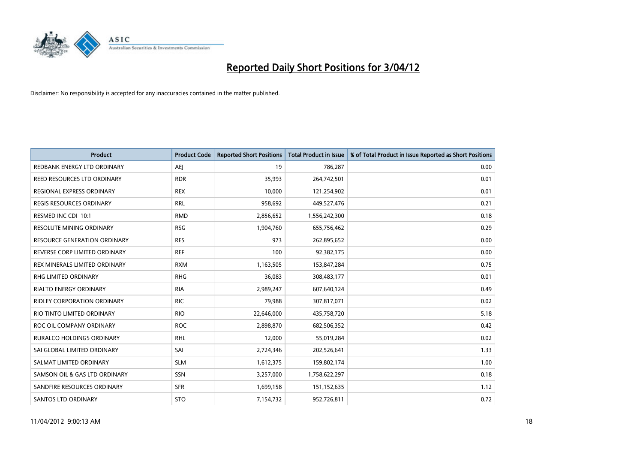

| <b>Product</b>                      | <b>Product Code</b> | <b>Reported Short Positions</b> | <b>Total Product in Issue</b> | % of Total Product in Issue Reported as Short Positions |
|-------------------------------------|---------------------|---------------------------------|-------------------------------|---------------------------------------------------------|
| REDBANK ENERGY LTD ORDINARY         | <b>AEJ</b>          | 19                              | 786,287                       | 0.00                                                    |
| REED RESOURCES LTD ORDINARY         | <b>RDR</b>          | 35,993                          | 264,742,501                   | 0.01                                                    |
| REGIONAL EXPRESS ORDINARY           | <b>REX</b>          | 10,000                          | 121,254,902                   | 0.01                                                    |
| REGIS RESOURCES ORDINARY            | <b>RRL</b>          | 958,692                         | 449,527,476                   | 0.21                                                    |
| RESMED INC CDI 10:1                 | <b>RMD</b>          | 2,856,652                       | 1,556,242,300                 | 0.18                                                    |
| RESOLUTE MINING ORDINARY            | <b>RSG</b>          | 1,904,760                       | 655,756,462                   | 0.29                                                    |
| <b>RESOURCE GENERATION ORDINARY</b> | <b>RES</b>          | 973                             | 262,895,652                   | 0.00                                                    |
| REVERSE CORP LIMITED ORDINARY       | <b>REF</b>          | 100                             | 92,382,175                    | 0.00                                                    |
| REX MINERALS LIMITED ORDINARY       | <b>RXM</b>          | 1,163,505                       | 153,847,284                   | 0.75                                                    |
| RHG LIMITED ORDINARY                | <b>RHG</b>          | 36,083                          | 308,483,177                   | 0.01                                                    |
| RIALTO ENERGY ORDINARY              | <b>RIA</b>          | 2,989,247                       | 607,640,124                   | 0.49                                                    |
| RIDLEY CORPORATION ORDINARY         | <b>RIC</b>          | 79,988                          | 307,817,071                   | 0.02                                                    |
| RIO TINTO LIMITED ORDINARY          | <b>RIO</b>          | 22,646,000                      | 435,758,720                   | 5.18                                                    |
| ROC OIL COMPANY ORDINARY            | <b>ROC</b>          | 2,898,870                       | 682,506,352                   | 0.42                                                    |
| <b>RURALCO HOLDINGS ORDINARY</b>    | <b>RHL</b>          | 12,000                          | 55,019,284                    | 0.02                                                    |
| SAI GLOBAL LIMITED ORDINARY         | SAI                 | 2,724,346                       | 202,526,641                   | 1.33                                                    |
| SALMAT LIMITED ORDINARY             | <b>SLM</b>          | 1,612,375                       | 159,802,174                   | 1.00                                                    |
| SAMSON OIL & GAS LTD ORDINARY       | SSN                 | 3,257,000                       | 1,758,622,297                 | 0.18                                                    |
| SANDFIRE RESOURCES ORDINARY         | <b>SFR</b>          | 1,699,158                       | 151,152,635                   | 1.12                                                    |
| SANTOS LTD ORDINARY                 | <b>STO</b>          | 7,154,732                       | 952,726,811                   | 0.72                                                    |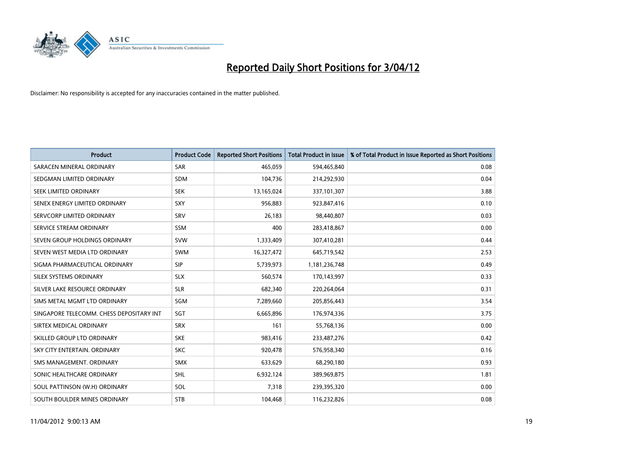

| <b>Product</b>                           | <b>Product Code</b> | <b>Reported Short Positions</b> | <b>Total Product in Issue</b> | % of Total Product in Issue Reported as Short Positions |
|------------------------------------------|---------------------|---------------------------------|-------------------------------|---------------------------------------------------------|
| SARACEN MINERAL ORDINARY                 | <b>SAR</b>          | 465,059                         | 594,465,840                   | 0.08                                                    |
| SEDGMAN LIMITED ORDINARY                 | SDM                 | 104,736                         | 214,292,930                   | 0.04                                                    |
| <b>SEEK LIMITED ORDINARY</b>             | <b>SEK</b>          | 13,165,024                      | 337,101,307                   | 3.88                                                    |
| SENEX ENERGY LIMITED ORDINARY            | <b>SXY</b>          | 956,883                         | 923,847,416                   | 0.10                                                    |
| SERVCORP LIMITED ORDINARY                | SRV                 | 26,183                          | 98,440,807                    | 0.03                                                    |
| SERVICE STREAM ORDINARY                  | <b>SSM</b>          | 400                             | 283,418,867                   | 0.00                                                    |
| SEVEN GROUP HOLDINGS ORDINARY            | <b>SVW</b>          | 1,333,409                       | 307,410,281                   | 0.44                                                    |
| SEVEN WEST MEDIA LTD ORDINARY            | SWM                 | 16,327,472                      | 645,719,542                   | 2.53                                                    |
| SIGMA PHARMACEUTICAL ORDINARY            | <b>SIP</b>          | 5,739,973                       | 1,181,236,748                 | 0.49                                                    |
| SILEX SYSTEMS ORDINARY                   | <b>SLX</b>          | 560,574                         | 170,143,997                   | 0.33                                                    |
| SILVER LAKE RESOURCE ORDINARY            | <b>SLR</b>          | 682,340                         | 220,264,064                   | 0.31                                                    |
| SIMS METAL MGMT LTD ORDINARY             | SGM                 | 7,289,660                       | 205,856,443                   | 3.54                                                    |
| SINGAPORE TELECOMM. CHESS DEPOSITARY INT | SGT                 | 6,665,896                       | 176,974,336                   | 3.75                                                    |
| SIRTEX MEDICAL ORDINARY                  | <b>SRX</b>          | 161                             | 55,768,136                    | 0.00                                                    |
| SKILLED GROUP LTD ORDINARY               | <b>SKE</b>          | 983,416                         | 233,487,276                   | 0.42                                                    |
| SKY CITY ENTERTAIN. ORDINARY             | <b>SKC</b>          | 920,478                         | 576,958,340                   | 0.16                                                    |
| SMS MANAGEMENT. ORDINARY                 | SMX                 | 633,629                         | 68,290,180                    | 0.93                                                    |
| SONIC HEALTHCARE ORDINARY                | <b>SHL</b>          | 6,932,124                       | 389,969,875                   | 1.81                                                    |
| SOUL PATTINSON (W.H) ORDINARY            | <b>SOL</b>          | 7,318                           | 239,395,320                   | 0.00                                                    |
| SOUTH BOULDER MINES ORDINARY             | <b>STB</b>          | 104,468                         | 116,232,826                   | 0.08                                                    |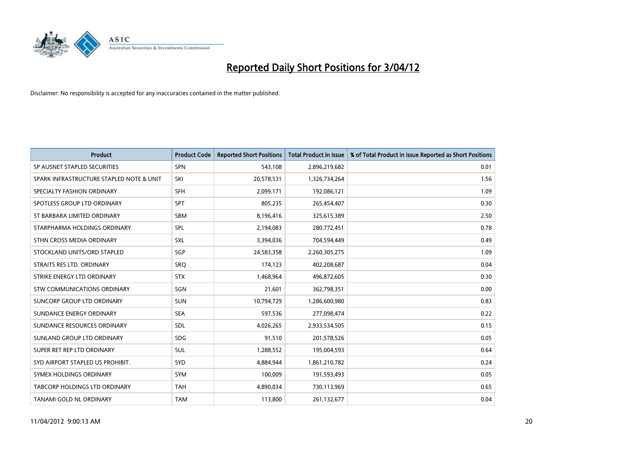

| <b>Product</b>                           | <b>Product Code</b> | <b>Reported Short Positions</b> | <b>Total Product in Issue</b> | % of Total Product in Issue Reported as Short Positions |
|------------------------------------------|---------------------|---------------------------------|-------------------------------|---------------------------------------------------------|
| SP AUSNET STAPLED SECURITIES             | <b>SPN</b>          | 543,108                         | 2,896,219,682                 | 0.01                                                    |
| SPARK INFRASTRUCTURE STAPLED NOTE & UNIT | SKI                 | 20,578,531                      | 1,326,734,264                 | 1.56                                                    |
| SPECIALTY FASHION ORDINARY               | SFH                 | 2,099,171                       | 192,086,121                   | 1.09                                                    |
| SPOTLESS GROUP LTD ORDINARY              | <b>SPT</b>          | 805,235                         | 265,454,407                   | 0.30                                                    |
| ST BARBARA LIMITED ORDINARY              | SBM                 | 8,196,416                       | 325,615,389                   | 2.50                                                    |
| STARPHARMA HOLDINGS ORDINARY             | SPL                 | 2,194,083                       | 280,772,451                   | 0.78                                                    |
| STHN CROSS MEDIA ORDINARY                | <b>SXL</b>          | 3,394,036                       | 704,594,449                   | 0.49                                                    |
| STOCKLAND UNITS/ORD STAPLED              | SGP                 | 24,583,358                      | 2,260,305,275                 | 1.09                                                    |
| STRAITS RES LTD. ORDINARY                | SRO                 | 174,123                         | 402,208,687                   | 0.04                                                    |
| STRIKE ENERGY LTD ORDINARY               | <b>STX</b>          | 1,468,964                       | 496,872,605                   | 0.30                                                    |
| STW COMMUNICATIONS ORDINARY              | SGN                 | 21,601                          | 362,798,351                   | 0.00                                                    |
| SUNCORP GROUP LTD ORDINARY               | <b>SUN</b>          | 10,794,729                      | 1,286,600,980                 | 0.83                                                    |
| SUNDANCE ENERGY ORDINARY                 | <b>SEA</b>          | 597,536                         | 277,098,474                   | 0.22                                                    |
| SUNDANCE RESOURCES ORDINARY              | SDL                 | 4,026,265                       | 2,933,534,505                 | 0.15                                                    |
| SUNLAND GROUP LTD ORDINARY               | SDG                 | 91,510                          | 201,578,526                   | 0.05                                                    |
| SUPER RET REP LTD ORDINARY               | <b>SUL</b>          | 1,288,552                       | 195,004,593                   | 0.64                                                    |
| SYD AIRPORT STAPLED US PROHIBIT.         | SYD                 | 4,884,944                       | 1,861,210,782                 | 0.24                                                    |
| SYMEX HOLDINGS ORDINARY                  | <b>SYM</b>          | 100,009                         | 191,593,493                   | 0.05                                                    |
| <b>TABCORP HOLDINGS LTD ORDINARY</b>     | <b>TAH</b>          | 4,890,034                       | 730,113,969                   | 0.65                                                    |
| TANAMI GOLD NL ORDINARY                  | <b>TAM</b>          | 113,800                         | 261,132,677                   | 0.04                                                    |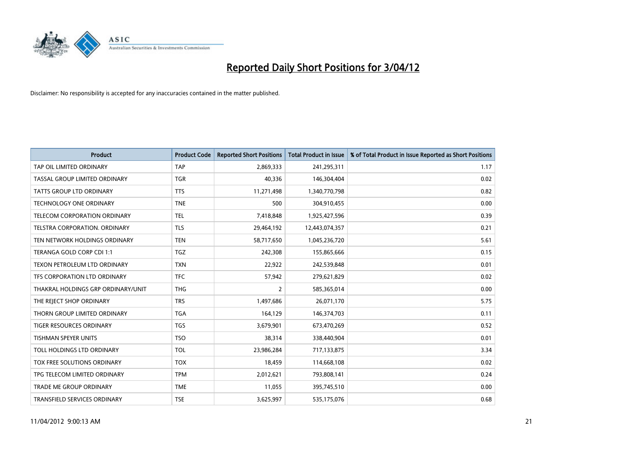

| <b>Product</b>                       | <b>Product Code</b> | <b>Reported Short Positions</b> | <b>Total Product in Issue</b> | % of Total Product in Issue Reported as Short Positions |
|--------------------------------------|---------------------|---------------------------------|-------------------------------|---------------------------------------------------------|
| TAP OIL LIMITED ORDINARY             | <b>TAP</b>          | 2,869,333                       | 241,295,311                   | 1.17                                                    |
| TASSAL GROUP LIMITED ORDINARY        | <b>TGR</b>          | 40,336                          | 146,304,404                   | 0.02                                                    |
| <b>TATTS GROUP LTD ORDINARY</b>      | <b>TTS</b>          | 11,271,498                      | 1,340,770,798                 | 0.82                                                    |
| TECHNOLOGY ONE ORDINARY              | <b>TNE</b>          | 500                             | 304,910,455                   | 0.00                                                    |
| <b>TELECOM CORPORATION ORDINARY</b>  | <b>TEL</b>          | 7,418,848                       | 1,925,427,596                 | 0.39                                                    |
| <b>TELSTRA CORPORATION, ORDINARY</b> | <b>TLS</b>          | 29,464,192                      | 12,443,074,357                | 0.21                                                    |
| TEN NETWORK HOLDINGS ORDINARY        | <b>TEN</b>          | 58,717,650                      | 1,045,236,720                 | 5.61                                                    |
| TERANGA GOLD CORP CDI 1:1            | <b>TGZ</b>          | 242,308                         | 155,865,666                   | 0.15                                                    |
| TEXON PETROLEUM LTD ORDINARY         | <b>TXN</b>          | 22,922                          | 242,539,848                   | 0.01                                                    |
| TFS CORPORATION LTD ORDINARY         | <b>TFC</b>          | 57,942                          | 279,621,829                   | 0.02                                                    |
| THAKRAL HOLDINGS GRP ORDINARY/UNIT   | <b>THG</b>          | $\overline{2}$                  | 585,365,014                   | 0.00                                                    |
| THE REJECT SHOP ORDINARY             | <b>TRS</b>          | 1,497,686                       | 26,071,170                    | 5.75                                                    |
| THORN GROUP LIMITED ORDINARY         | <b>TGA</b>          | 164,129                         | 146,374,703                   | 0.11                                                    |
| <b>TIGER RESOURCES ORDINARY</b>      | <b>TGS</b>          | 3,679,901                       | 673,470,269                   | 0.52                                                    |
| <b>TISHMAN SPEYER UNITS</b>          | <b>TSO</b>          | 38,314                          | 338,440,904                   | 0.01                                                    |
| TOLL HOLDINGS LTD ORDINARY           | <b>TOL</b>          | 23,986,284                      | 717,133,875                   | 3.34                                                    |
| <b>TOX FREE SOLUTIONS ORDINARY</b>   | <b>TOX</b>          | 18,459                          | 114,668,108                   | 0.02                                                    |
| TPG TELECOM LIMITED ORDINARY         | <b>TPM</b>          | 2,012,621                       | 793,808,141                   | 0.24                                                    |
| TRADE ME GROUP ORDINARY              | <b>TME</b>          | 11,055                          | 395,745,510                   | 0.00                                                    |
| <b>TRANSFIELD SERVICES ORDINARY</b>  | <b>TSE</b>          | 3,625,997                       | 535,175,076                   | 0.68                                                    |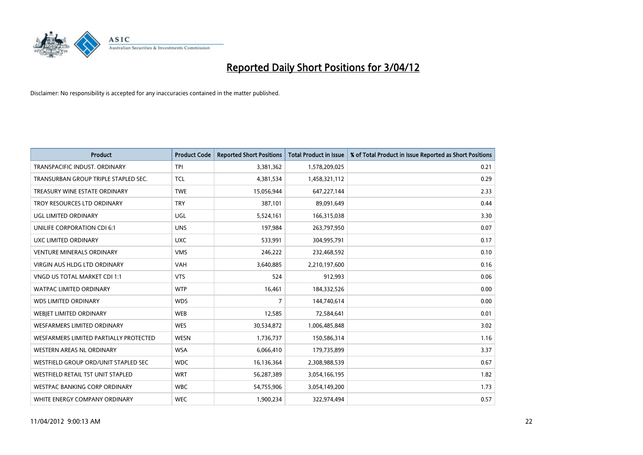

| <b>Product</b>                         | <b>Product Code</b> | <b>Reported Short Positions</b> | <b>Total Product in Issue</b> | % of Total Product in Issue Reported as Short Positions |
|----------------------------------------|---------------------|---------------------------------|-------------------------------|---------------------------------------------------------|
| TRANSPACIFIC INDUST, ORDINARY          | <b>TPI</b>          | 3,381,362                       | 1,578,209,025                 | 0.21                                                    |
| TRANSURBAN GROUP TRIPLE STAPLED SEC.   | <b>TCL</b>          | 4,381,534                       | 1,458,321,112                 | 0.29                                                    |
| TREASURY WINE ESTATE ORDINARY          | <b>TWE</b>          | 15,056,944                      | 647,227,144                   | 2.33                                                    |
| TROY RESOURCES LTD ORDINARY            | <b>TRY</b>          | 387,101                         | 89,091,649                    | 0.44                                                    |
| <b>UGL LIMITED ORDINARY</b>            | UGL                 | 5,524,161                       | 166,315,038                   | 3.30                                                    |
| UNILIFE CORPORATION CDI 6:1            | <b>UNS</b>          | 197,984                         | 263,797,950                   | 0.07                                                    |
| UXC LIMITED ORDINARY                   | <b>UXC</b>          | 533,991                         | 304,995,791                   | 0.17                                                    |
| <b>VENTURE MINERALS ORDINARY</b>       | <b>VMS</b>          | 246,222                         | 232,468,592                   | 0.10                                                    |
| <b>VIRGIN AUS HLDG LTD ORDINARY</b>    | <b>VAH</b>          | 3,640,885                       | 2,210,197,600                 | 0.16                                                    |
| VNGD US TOTAL MARKET CDI 1:1           | <b>VTS</b>          | 524                             | 912,993                       | 0.06                                                    |
| <b>WATPAC LIMITED ORDINARY</b>         | <b>WTP</b>          | 16,461                          | 184,332,526                   | 0.00                                                    |
| <b>WDS LIMITED ORDINARY</b>            | <b>WDS</b>          | $\overline{7}$                  | 144,740,614                   | 0.00                                                    |
| WEBIET LIMITED ORDINARY                | <b>WEB</b>          | 12,585                          | 72,584,641                    | 0.01                                                    |
| <b>WESFARMERS LIMITED ORDINARY</b>     | <b>WES</b>          | 30,534,872                      | 1,006,485,848                 | 3.02                                                    |
| WESFARMERS LIMITED PARTIALLY PROTECTED | <b>WESN</b>         | 1,736,737                       | 150,586,314                   | 1.16                                                    |
| <b>WESTERN AREAS NL ORDINARY</b>       | <b>WSA</b>          | 6,066,410                       | 179,735,899                   | 3.37                                                    |
| WESTFIELD GROUP ORD/UNIT STAPLED SEC   | <b>WDC</b>          | 16,136,364                      | 2,308,988,539                 | 0.67                                                    |
| WESTFIELD RETAIL TST UNIT STAPLED      | <b>WRT</b>          | 56,287,389                      | 3,054,166,195                 | 1.82                                                    |
| WESTPAC BANKING CORP ORDINARY          | <b>WBC</b>          | 54,755,906                      | 3,054,149,200                 | 1.73                                                    |
| WHITE ENERGY COMPANY ORDINARY          | <b>WEC</b>          | 1,900,234                       | 322,974,494                   | 0.57                                                    |